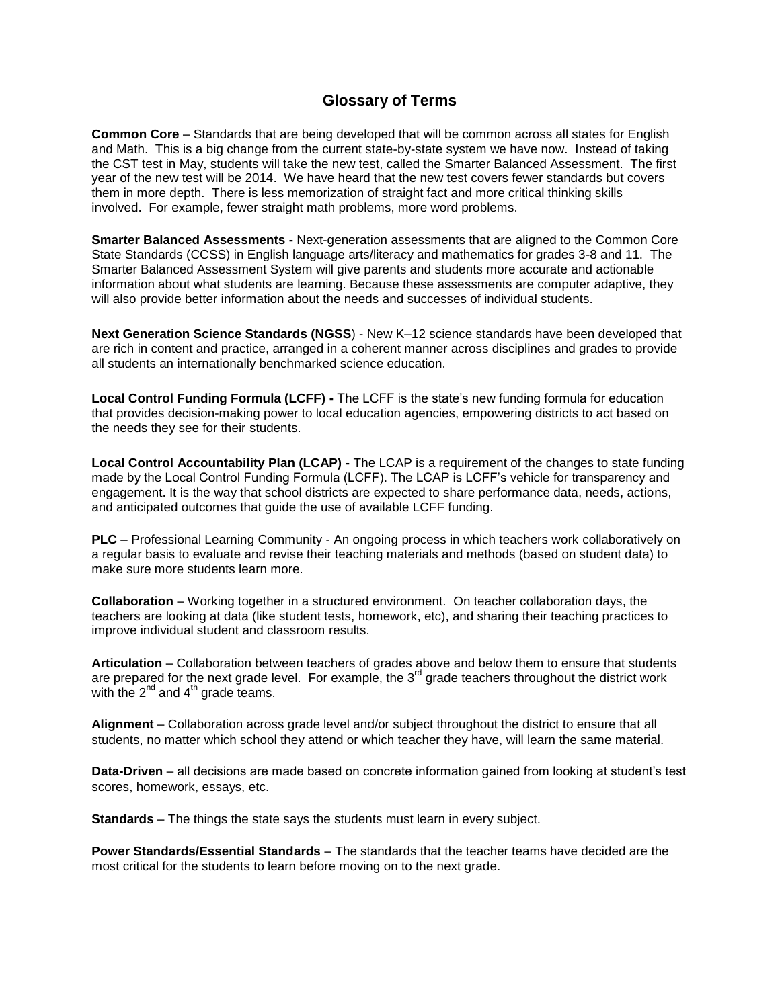## **Glossary of Terms**

**Common Core** – Standards that are being developed that will be common across all states for English and Math. This is a big change from the current state-by-state system we have now. Instead of taking the CST test in May, students will take the new test, called the Smarter Balanced Assessment. The first year of the new test will be 2014. We have heard that the new test covers fewer standards but covers them in more depth. There is less memorization of straight fact and more critical thinking skills involved. For example, fewer straight math problems, more word problems.

**Smarter Balanced Assessments -** Next-generation assessments that are aligned to the [Common Core](http://www.corestandards.org/)  [State Standards \(CCSS\)](http://www.corestandards.org/) in English language arts/literacy and mathematics for grades 3-8 and 11. The Smarter Balanced Assessment System will give parents and students more accurate and actionable information about what students are learning. Because these assessments are [computer adaptive,](http://www.smarterbalanced.org/smarter-balanced-assessments/computer-adaptive-testing/) they will also provide better information about the needs and successes of individual students.

**Next Generation Science Standards (NGSS**) - New K–12 science standards have been developed that are rich in content and practice, arranged in a coherent manner across disciplines and grades to provide all students an internationally benchmarked science education.

**Local Control Funding Formula (LCFF) -** The LCFF is the state's new funding formula for education that provides decision-making power to local education agencies, empowering districts to act based on the needs they see for their students.

**Local Control Accountability Plan (LCAP) -** The LCAP is a requirement of the changes to state funding made by the Local Control Funding Formula (LCFF). The LCAP is LCFF's vehicle for transparency and engagement. It is the way that school districts are expected to share performance data, needs, actions, and anticipated outcomes that guide the use of available LCFF funding.

**PLC** – Professional Learning Community - An ongoing process in which teachers work collaboratively on a regular basis to evaluate and revise their teaching materials and methods (based on student data) to make sure more students learn more.

**Collaboration** – Working together in a structured environment. On teacher collaboration days, the teachers are looking at data (like student tests, homework, etc), and sharing their teaching practices to improve individual student and classroom results.

**Articulation** – Collaboration between teachers of grades above and below them to ensure that students are prepared for the next grade level. For example, the 3<sup>rd</sup> grade teachers throughout the district work with the  $2^{nd}$  and  $4^{th}$  grade teams.

**Alignment** – Collaboration across grade level and/or subject throughout the district to ensure that all students, no matter which school they attend or which teacher they have, will learn the same material.

**Data-Driven** – all decisions are made based on concrete information gained from looking at student's test scores, homework, essays, etc.

**Standards** – The things the state says the students must learn in every subject.

**Power Standards/Essential Standards** – The standards that the teacher teams have decided are the most critical for the students to learn before moving on to the next grade.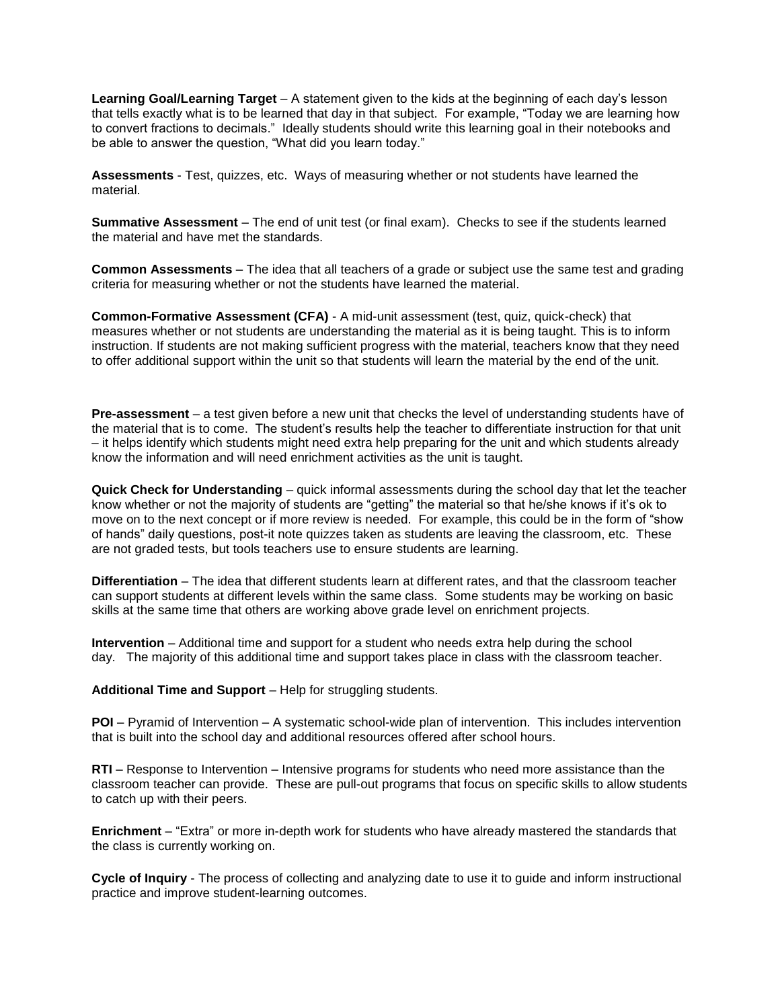**Learning Goal/Learning Target** – A statement given to the kids at the beginning of each day's lesson that tells exactly what is to be learned that day in that subject. For example, "Today we are learning how to convert fractions to decimals." Ideally students should write this learning goal in their notebooks and be able to answer the question, "What did you learn today."

**Assessments** - Test, quizzes, etc. Ways of measuring whether or not students have learned the material.

**Summative Assessment** – The end of unit test (or final exam). Checks to see if the students learned the material and have met the standards.

**Common Assessments** – The idea that all teachers of a grade or subject use the same test and grading criteria for measuring whether or not the students have learned the material.

**Common-Formative Assessment (CFA)** - A mid-unit assessment (test, quiz, quick-check) that measures whether or not students are understanding the material as it is being taught. This is to inform instruction. If students are not making sufficient progress with the material, teachers know that they need to offer additional support within the unit so that students will learn the material by the end of the unit.

**Pre-assessment** – a test given before a new unit that checks the level of understanding students have of the material that is to come. The student's results help the teacher to differentiate instruction for that unit – it helps identify which students might need extra help preparing for the unit and which students already know the information and will need enrichment activities as the unit is taught.

**Quick Check for Understanding** – quick informal assessments during the school day that let the teacher know whether or not the majority of students are "getting" the material so that he/she knows if it's ok to move on to the next concept or if more review is needed. For example, this could be in the form of "show of hands" daily questions, post-it note quizzes taken as students are leaving the classroom, etc. These are not graded tests, but tools teachers use to ensure students are learning.

**Differentiation** – The idea that different students learn at different rates, and that the classroom teacher can support students at different levels within the same class. Some students may be working on basic skills at the same time that others are working above grade level on enrichment projects.

**Intervention** – Additional time and support for a student who needs extra help during the school day. The majority of this additional time and support takes place in class with the classroom teacher.

**Additional Time and Support** – Help for struggling students.

**POI** – Pyramid of Intervention – A systematic school-wide plan of intervention. This includes intervention that is built into the school day and additional resources offered after school hours.

**RTI** – Response to Intervention – Intensive programs for students who need more assistance than the classroom teacher can provide. These are pull-out programs that focus on specific skills to allow students to catch up with their peers.

**Enrichment** – "Extra" or more in-depth work for students who have already mastered the standards that the class is currently working on.

**Cycle of Inquiry** - The process of collecting and analyzing date to use it to guide and inform instructional practice and improve student-learning outcomes.